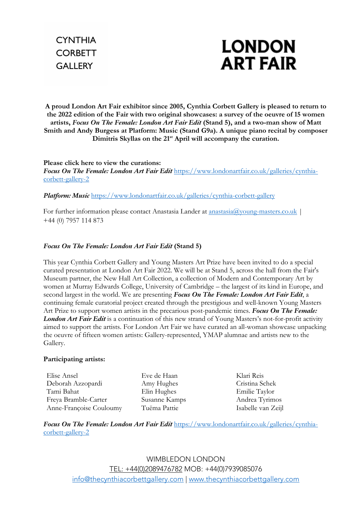

**A proud London Art Fair exhibitor since 2005, Cynthia Corbett Gallery is pleased to return to the 2022 edition of the Fair with two original showcases: a survey of the oeuvre of 15 women artists,** *Focus On The Female: London Art Fair Edit* **(Stand 5), and a two-man show of Matt Smith and Andy Burgess at Platform: Music (Stand G9a). A unique piano recital by composer Dimitris Skyllas on the 21st April will accompany the curation.** 

**Please click here to view the curations:** *Focus On The Female: London Art Fair Edit* https://www.londonartfair.co.uk/galleries/cynthiacorbett-gallery-2

*Platform: Music* https://www.londonartfair.co.uk/galleries/cynthia-corbett-gallery

For further information please contact Anastasia Lander at anastasia@young-masters.co.uk | +44 (0) 7957 114 873

#### *Focus On The Female: London Art Fair Edit* **(Stand 5)**

This year Cynthia Corbett Gallery and Young Masters Art Prize have been invited to do a special curated presentation at London Art Fair 2022. We will be at Stand 5, across the hall from the Fair's Museum partner, the New Hall Art Collection, a collection of Modern and Contemporary Art by women at Murray Edwards College, University of Cambridge – the largest of its kind in Europe, and second largest in the world. We are presenting *Focus On The Female: London Art Fair Edit*, a continuing female curatorial project created through the prestigious and well-known Young Masters Art Prize to support women artists in the precarious post-pandemic times. *Focus On The Female: London Art Fair Edit* is a continuation of this new strand of Young Masters's not-for-profit activity aimed to support the artists. For London Art Fair we have curated an all-woman showcase unpacking the oeuvre of fifteen women artists: Gallery-represented, YMAP alumnae and artists new to the Gallery.

#### **Participating artists:**

Elise Ansel Eve de Haan Klari Reis Deborah Azzopardi Amy Hughes Cristina Schek Tami Bahat Elin Hughes Emilie Taylor Freya Bramble-Carter Susanne Kamps Andrea Tyrimos Anne-Françoise Couloumy Tuëma Pattie Isabelle van Zeijl

*Focus On The Female: London Art Fair Edit* https://www.londonartfair.co.uk/galleries/cynthiacorbett-gallery-2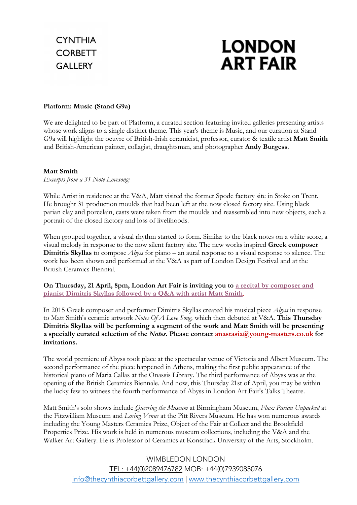# **LONDON ART FAIR**

### **Platform: Music (Stand G9a)**

We are delighted to be part of Platform, a curated section featuring invited galleries presenting artists whose work aligns to a single distinct theme. This year's theme is Music, and our curation at Stand G9a will highlight the oeuvre of British-Irish ceramicist, professor, curator & textile artist **Matt Smith** and British-American painter, collagist, draughtsman, and photographer **Andy Burgess**.

#### **Matt Smith**

*Excerpts from a 31 Note Lovesong:* 

While Artist in residence at the V&A, Matt visited the former Spode factory site in Stoke on Trent. He brought 31 production moulds that had been left at the now closed factory site. Using black parian clay and porcelain, casts were taken from the moulds and reassembled into new objects, each a portrait of the closed factory and loss of livelihoods.

When grouped together, a visual rhythm started to form. Similar to the black notes on a white score; a visual melody in response to the now silent factory site. The new works inspired **Greek composer Dimitris Skyllas** to compose *Abyss* for piano – an aural response to a visual response to silence. The work has been shown and performed at the V&A as part of London Design Festival and at the British Ceramics Biennial.

**On Thursday, 21 April, 8pm, London Art Fair is inviting you to a recital by composer and pianist Dimitris Skyllas followed by a Q&A with artist Matt Smith**.

In 2015 Greek composer and performer Dimitris Skyllas created his musical piece *Abyss* in response to Matt Smith's ceramic artwork *Notes Of A Love Song,* which then debuted at V&A. **This Thursday Dimitris Skyllas will be performing a segment of the work and Matt Smith will be presenting a specially curated selection of the** *Notes***. Please contact anastasia@young-masters.co.uk for invitations.**

The world premiere of Abyss took place at the spectacular venue of Victoria and Albert Museum. The second performance of the piece happened in Athens, making the first public appearance of the historical piano of Maria Callas at the Onassis Library. The third performance of Abyss was at the opening of the British Ceramics Biennale. And now, this Thursday 21st of April, you may be within the lucky few to witness the fourth performance of Abyss in London Art Fair's Talks Theatre.

Matt Smith's solo shows include *Queering the Museum* at Birmingham Museum, *Flux: Parian Unpacked* at the Fitzwilliam Museum and *Losing Venus* at the Pitt Rivers Museum. He has won numerous awards including the Young Masters Ceramics Prize, Object of the Fair at Collect and the Brookfield Properties Prize. His work is held in numerous museum collections, including the V&A and the Walker Art Gallery. He is Professor of Ceramics at Konstfack University of the Arts, Stockholm.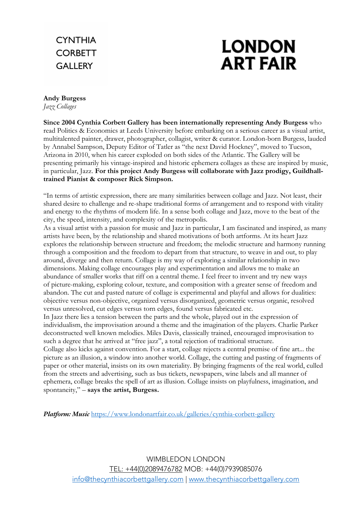## **CYNTHIA CORBETT GALLERY**

# **LONDON ART FAIR**

### **Andy Burgess**

*Jazz Collages* 

**Since 2004 Cynthia Corbett Gallery has been internationally representing Andy Burgess** who read Politics & Economics at Leeds University before embarking on a serious career as a visual artist, multitalented painter, drawer, photographer, collagist, writer & curator. London-born Burgess, lauded by Annabel Sampson, Deputy Editor of Tatler as "the next David Hockney", moved to Tucson, Arizona in 2010, when his career exploded on both sides of the Atlantic. The Gallery will be presenting primarily his vintage-inspired and historic ephemera collages as these are inspired by music, in particular, Jazz. **For this project Andy Burgess will collaborate with Jazz prodigy, Guildhalltrained Pianist & composer Rick Simpson.**

"In terms of artistic expression, there are many similarities between collage and Jazz. Not least, their shared desire to challenge and re-shape traditional forms of arrangement and to respond with vitality and energy to the rhythms of modern life. In a sense both collage and Jazz, move to the beat of the city, the speed, intensity, and complexity of the metropolis.

As a visual artist with a passion for music and Jazz in particular, I am fascinated and inspired, as many artists have been, by the relationship and shared motivations of both artforms. At its heart Jazz explores the relationship between structure and freedom; the melodic structure and harmony running through a composition and the freedom to depart from that structure, to weave in and out, to play around, diverge and then return. Collage is my way of exploring a similar relationship in two dimensions. Making collage encourages play and experimentation and allows me to make an abundance of smaller works that riff on a central theme. I feel freer to invent and try new ways of picture-making, exploring colour, texture, and composition with a greater sense of freedom and abandon. The cut and pasted nature of collage is experimental and playful and allows for dualities: objective versus non-objective, organized versus disorganized, geometric versus organic, resolved versus unresolved, cut edges versus torn edges, found versus fabricated etc.

In Jazz there lies a tension between the parts and the whole, played out in the expression of individualism, the improvisation around a theme and the imagination of the players. Charlie Parker deconstructed well known melodies. Miles Davis, classically trained, encouraged improvisation to such a degree that he arrived at "free jazz", a total rejection of traditional structure.

Collage also kicks against convention. For a start, collage rejects a central premise of fine art... the picture as an illusion, a window into another world. Collage, the cutting and pasting of fragments of paper or other material, insists on its own materiality. By bringing fragments of the real world, culled from the streets and advertising, such as bus tickets, newspapers, wine labels and all manner of ephemera, collage breaks the spell of art as illusion. Collage insists on playfulness, imagination, and spontaneity," – **says the artist, Burgess.** 

*Platform: Music* https://www.londonartfair.co.uk/galleries/cynthia-corbett-gallery